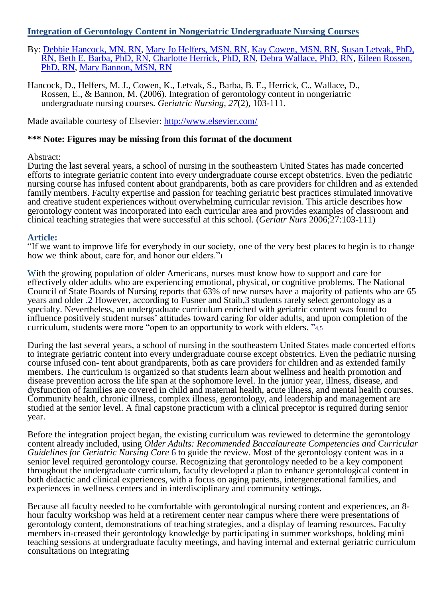## **Integration of Gerontology Content in Nongeriatric Undergraduate Nursing Courses**

- By: [Debbie Hancock, MN, RN,](http://libres.uncg.edu/ir/uncg/clist.aspx?id=1652) [Mary Jo Helfers, MSN, RN,](http://libres.uncg.edu/ir/uncg/clist.aspx?id=1668) [Kay Cowen, MSN, RN,](http://libres.uncg.edu/ir/uncg/clist.aspx?id=1604) [Susan Letvak, PhD,](http://libres.uncg.edu/ir/uncg/clist.aspx?id=1657)  [RN,](http://libres.uncg.edu/ir/uncg/clist.aspx?id=1657) [Beth E. Barba, PhD, RN,](http://libres.uncg.edu/ir/uncg/clist.aspx?id=1663) [Charlotte Herrick, PhD, RN,](http://libres.uncg.edu/ir/uncg/clist.aspx?id=1618) [Debra Wallace, PhD, RN,](http://libres.uncg.edu/ir/uncg/clist.aspx?id=1653) [Eileen Rossen,](http://libres.uncg.edu/ir/uncg/clist.aspx?id=89)  [PhD, RN,](http://libres.uncg.edu/ir/uncg/clist.aspx?id=89) [Mary Bannon, MSN, RN](http://libres.uncg.edu/ir/uncg/clist.aspx?id=1637)
- Hancock, D., Helfers, M. J., Cowen, K., Letvak, S., Barba, B. E., Herrick, C., Wallace, D., Rossen, E., & Bannon, M. (2006). Integration of gerontology content in nongeriatric undergraduate nursing courses. *Geriatric Nursing, 27*(2), 103-111.

Made available courtesy of Elsevier:<http://www.elsevier.com/>

## **\*\*\* Note: Figures may be missing from this format of the document**

### Abstract:

During the last several years, a school of nursing in the southeastern United States has made concerted efforts to integrate geriatric content into every undergraduate course except obstetrics. Even the pediatric nursing course has infused content about grandparents, both as care providers for children and as extended family members. Faculty expertise and passion for teaching geriatric best practices stimulated innovative and creative student experiences without overwhelming curricular revision. This article describes how gerontology content was incorporated into each curricular area and provides examples of classroom and clinical teaching strategies that were successful at this school. (*Geriatr Nurs* 2006;27:103-111)

### **Article:**

"If we want to improve life for everybody in our society, one of the very best places to begin is to change how we think about, care for, and honor our elders."<sup>1</sup>

With the growing population of older Americans, nurses must know how to support and care for effectively older adults who are experiencing emotional, physical, or cognitive problems. The National Council of State Boards of Nursing reports that 63% of new nurses have a majority of patients who are 65 years and older .2 However, according to Fusner and Staib,3 students rarely select gerontology as a specialty. Nevertheless, an undergraduate curriculum enriched with geriatric content was found to influence positively student nurses' attitudes toward caring for older adults, and upon completion of the curriculum, students were more "open to an opportunity to work with elders. "4,5

During the last several years, a school of nursing in the southeastern United States made concerted efforts to integrate geriatric content into every undergraduate course except obstetrics. Even the pediatric nursing course infused con- tent about grandparents, both as care providers for children and as extended family members. The curriculum is organized so that students learn about wellness and health promotion and disease prevention across the life span at the sophomore level. In the junior year, illness, disease, and dysfunction of families are covered in child and maternal health, acute illness, and mental health courses. Community health, chronic illness, complex illness, gerontology, and leadership and management are studied at the senior level. A final capstone practicum with a clinical preceptor is required during senior year.

Before the integration project began, the existing curriculum was reviewed to determine the gerontology content already included, using *Older Adults: Recommended Baccalaureate Competencies and Curricular Guidelines for Geriatric Nursing Care* 6 to guide the review. Most of the gerontology content was in a senior level required gerontology course. Recognizing that gerontology needed to be a key component throughout the undergraduate curriculum, faculty developed a plan to enhance gerontological content in both didactic and clinical experiences, with a focus on aging patients, intergenerational families, and experiences in wellness centers and in interdisciplinary and community settings.

Because all faculty needed to be comfortable with gerontological nursing content and experiences, an 8 hour faculty workshop was held at a retirement center near campus where there were presentations of gerontology content, demonstrations of teaching strategies, and a display of learning resources. Faculty members in-creased their gerontology knowledge by participating in summer workshops, holding mini teaching sessions at undergraduate faculty meetings, and having internal and external geriatric curriculum consultations on integrating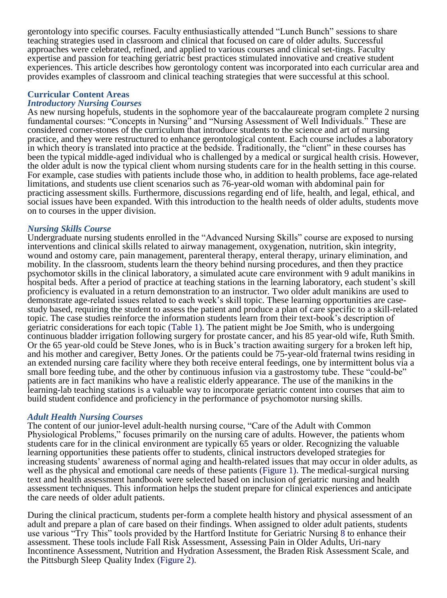gerontology into specific courses. Faculty enthusiastically attended "Lunch Bunch" sessions to share teaching strategies used in classroom and clinical that focused on care of older adults. Successful approaches were celebrated, refined, and applied to various courses and clinical set-tings. Faculty expertise and passion for teaching geriatric best practices stimulated innovative and creative student experiences. This article describes how gerontology content was incorporated into each curricular area and provides examples of classroom and clinical teaching strategies that were successful at this school.

## **Curricular Content Areas**

#### *Introductory Nursing Courses*

As new nursing hopefuls, students in the sophomore year of the baccalaureate program complete 2 nursing fundamental courses: "Concepts in Nursing" and "Nursing Assessment of Well Individuals." These are considered corner-stones of the curriculum that introduce students to the science and art of nursing practice, and they were restructured to enhance gerontological content. Each course includes a laboratory in which theory is translated into practice at the bedside. Traditionally, the "client" in these courses has been the typical middle-aged individual who is challenged by a medical or surgical health crisis. However, the older adult is now the typical client whom nursing students care for in the health setting in this course. For example, case studies with patients include those who, in addition to health problems, face age-related limitations, and students use client scenarios such as 76-year-old woman with abdominal pain for practicing assessment skills. Furthermore, discussions regarding end of life, health, and legal, ethical, and social issues have been expanded. With this introduction to the health needs of older adults, students move on to courses in the upper division.

#### *Nursing Skills Course*

Undergraduate nursing students enrolled in the "Advanced Nursing Skills" course are exposed to nursing interventions and clinical skills related to airway management, oxygenation, nutrition, skin integrity, wound and ostomy care, pain management, parenteral therapy, enteral therapy, urinary elimination, and mobility. In the classroom, students learn the theory behind nursing procedures, and then they practice psychomotor skills in the clinical laboratory, a simulated acute care environment with 9 adult manikins in hospital beds. After a period of practice at teaching stations in the learning laboratory, each student's skill proficiency is evaluated in a return demonstration to an instructor. Two older adult manikins are used to demonstrate age-related issues related to each week's skill topic. These learning opportunities are casestudy based, requiring the student to assess the patient and produce a plan of care specific to a skill-related topic. The case studies reinforce the information students learn from their text-book's description of geriatric considerations for each topic (Table 1). The patient might be Joe Smith, who is undergoing continuous bladder irrigation following surgery for prostate cancer, and his 85 year-old wife, Ruth Smith. Or the 65 year-old could be Steve Jones, who is in Buck's traction awaiting surgery for a broken left hip, and his mother and caregiver, Betty Jones. Or the patients could be 75-year-old fraternal twins residing in an extended nursing care facility where they both receive enteral feedings, one by intermittent bolus via a small bore feeding tube, and the other by continuous infusion via a gastrostomy tube. These "could-be" patients are in fact manikins who have a realistic elderly appearance. The use of the manikins in the learning-lab teaching stations is a valuable way to incorporate geriatric content into courses that aim to build student confidence and proficiency in the performance of psychomotor nursing skills.

#### *Adult Health Nursing Courses*

The content of our junior-level adult-health nursing course, "Care of the Adult with Common Physiological Problems," focuses primarily on the nursing care of adults. However, the patients whom students care for in the clinical environment are typically 65 years or older. Recognizing the valuable learning opportunities these patients offer to students, clinical instructors developed strategies for increasing students' awareness of normal aging and health-related issues that may occur in older adults, as well as the physical and emotional care needs of these patients (Figure 1). The medical-surgical nursing text and health assessment handbook were selected based on inclusion of geriatric nursing and health assessment techniques. This information helps the student prepare for clinical experiences and anticipate the care needs of older adult patients.

During the clinical practicum, students per-form a complete health history and physical assessment of an adult and prepare a plan of care based on their findings. When assigned to older adult patients, students use various "Try This" tools provided by the Hartford Institute for Geriatric Nursing 8 to enhance their assessment. These tools include Fall Risk Assessment, Assessing Pain in Older Adults, Uri-nary Incontinence Assessment, Nutrition and Hydration Assessment, the Braden Risk Assessment Scale, and the Pittsburgh Sleep Quality Index (Figure 2).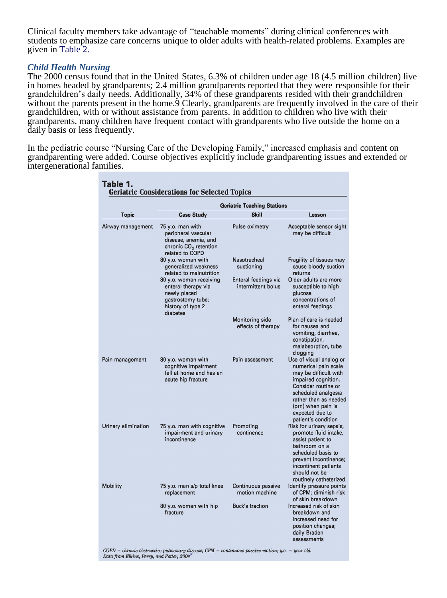Clinical faculty members take advantage of "teachable moments" during clinical conferences with students to emphasize care concerns unique to older adults with health-related problems. Examples are given in Table 2.

#### *Child Health Nursing*

The 2000 census found that in the United States, 6.3% of children under age 18 (4.5 million children) live in homes headed by grandparents; 2.4 million grandparents reported that they were responsible for their grandchildren's daily needs. Additionally, 34% of these grandparents resided with their grandchildren without the parents present in the home.<sup>9</sup> Clearly, grandparents are frequently involved in the care of their grandchildren, with or without assistance from parents. In addition to children who live with their grandparents, many children have frequent contact with grandparents who live outside the home on a daily basis or less frequently.

In the pediatric course "Nursing Care of the Developing Family," increased emphasis and content on grandparenting were added. Course objectives explicitly include grandparenting issues and extended or intergenerational families.

|                     | <b>Geriatric Teaching Stations</b>                                                                                      |                                            |                                                                                                                                                                                                                                        |  |
|---------------------|-------------------------------------------------------------------------------------------------------------------------|--------------------------------------------|----------------------------------------------------------------------------------------------------------------------------------------------------------------------------------------------------------------------------------------|--|
| Topic               | <b>Case Study</b>                                                                                                       | <b>Skill</b>                               | <b>Lesson</b>                                                                                                                                                                                                                          |  |
| Airway management   | 75 y.o. man with<br>peripheral vascular<br>disease, anemia, and<br>chronic CO <sub>2</sub> retention<br>related to COPD | Pulse oximetry                             | Acceptable sensor sight<br>may be difficult                                                                                                                                                                                            |  |
|                     | 80 y.o. woman with<br>generalized weakness<br>related to malnutrition                                                   | Nasotracheal<br>suctioning                 | Fragility of tissues may<br>cause bloody suction<br>returns                                                                                                                                                                            |  |
|                     | 80 y.o. woman receiving<br>enteral therapy via<br>newly placed<br>gastrostomy tube;<br>history of type 2<br>diabetes    | Enteral feedings via<br>intermittent bolus | Older adults are more<br>susceptible to high<br>glucose<br>concentrations of<br>enteral feedings                                                                                                                                       |  |
|                     |                                                                                                                         | Monitoring side<br>effects of therapy      | Plan of care is needed<br>for nausea and<br>vomiting, diarrhea,<br>constipation,<br>malabsorption, tube<br>clogging                                                                                                                    |  |
| Pain management     | 80 y.o. woman with<br>cognitive impairment<br>fell at home and has an<br>acute hip fracture                             | Pain assessment                            | Use of visual analog or<br>numerical pain scale<br>may be difficult with<br>impaired cognition.<br>Consider routine or<br>scheduled analgesia<br>rather than as needed<br>(prn) when pain is<br>expected due to<br>patient's condition |  |
| Urinary elimination | 75 y.o. man with cognitive<br>impairment and urinary<br>incontinence                                                    | Promoting<br>continence                    | Risk for urinary sepsis;<br>promote fluid intake,<br>assist patient to<br>bathroom on a<br>scheduled basis to<br>prevent incontinence;<br>incontinent patients<br>should not be<br>routinely catheterized                              |  |
| Mobility            | 75 y.o. man s/p total knee<br>replacement                                                                               | Continuous passive<br>motion machine       | Identify pressure points<br>of CPM: diminish risk<br>of skin breakdown                                                                                                                                                                 |  |
|                     | 80 y.o. woman with hip<br>fracture                                                                                      | Buck's traction                            | Increased risk of skin<br>breakdown and<br>increased need for<br>position changes;<br>daily Braden<br>assessments                                                                                                                      |  |

Table 1.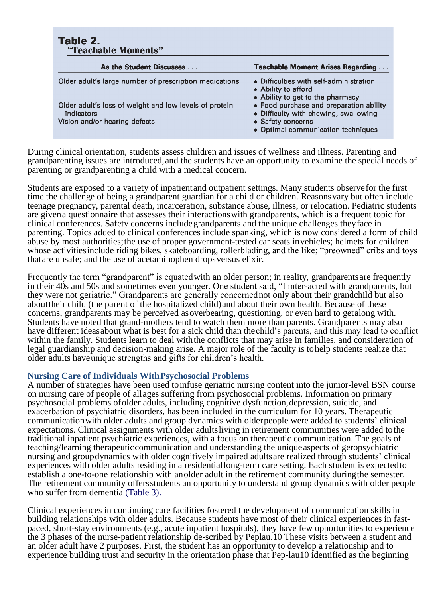|            | Table 2.<br>"Teachable Moments"                                                         |                                                                                                                                             |  |  |
|------------|-----------------------------------------------------------------------------------------|---------------------------------------------------------------------------------------------------------------------------------------------|--|--|
|            | As the Student Discusses                                                                | <b>Teachable Moment Arises Regarding</b>                                                                                                    |  |  |
|            | Older adult's large number of prescription medications                                  | • Difficulties with self-administration<br>• Ability to afford<br>• Ability to get to the pharmacy                                          |  |  |
| indicators | Older adult's loss of weight and low levels of protein<br>Vision and/or hearing defects | • Food purchase and preparation ability<br>• Difficulty with chewing, swallowing<br>• Safety concerns<br>• Optimal communication techniques |  |  |

During clinical orientation, students assess children and issues of wellness and illness. Parenting and grandparenting issues are introduced,and the students have an opportunity to examine the special needs of parenting or grandparenting a child with a medical concern.

Students are exposed to a variety of inpatientand outpatient settings. Many students observefor the first time the challenge of being a grandparent guardian for a child or children. Reasonsvary but often include teenage pregnancy, parental death, incarceration, substance abuse, illness, or relocation. Pediatric students are givena questionnaire that assesses their interactionswith grandparents, which is a frequent topic for clinical conferences. Safety concerns includegrandparents and the unique challenges theyface in parenting. Topics added to clinical conferences include spanking, which is now considered a form of child abuse by most authorities;the use of proper government-tested car seats invehicles; helmets for children whose activitiesinclude riding bikes, skateboarding, rollerblading, and the like; "preowned" cribs and toys thatare unsafe; and the use of acetaminophen dropsversus elixir.

Frequently the term "grandparent" is equated with an older person; in reality, grandparents are frequently in their 40s and 50s and sometimes even younger. One student said, "I inter-acted with grandparents, but they were not geriatric." Grandparents are generally concernednot only about their grandchild but also abouttheir child (the parent of the hospitalized child)and about their own health. Because of these concerns, grandparents may be perceived asoverbearing, questioning, or even hard to getalong with. Students have noted that grand-mothers tend to watch them more than parents. Grandparents may also have different ideasabout what is best for a sick child than thechild's parents, and this may lead to conflict within the family. Students learn to deal withthe conflicts that may arise in families, and consideration of legal guardianship and decision-making arise. A major role of the faculty is tohelp students realize that older adults haveunique strengths and gifts for children's health.

#### **Nursing Care of Individuals WithPsychosocial Problems**

A number of strategies have been used toinfuse geriatric nursing content into the junior-level BSN course on nursing care of people of allages suffering from psychosocial problems. Information on primary psychosocial problems ofolder adults, including cognitive dysfunction,depression, suicide, and exacerbation of psychiatric disorders, has been included in the curriculum for 10 years. Therapeutic communicationwith older adults and group dynamics with olderpeople were added to students' clinical expectations. Clinical assignments with older adultsliving in retirement communities were added tothe traditional inpatient psychiatric experiences, with a focus on therapeutic communication. The goals of teaching/learning therapeuticcommunication and understanding the uniqueaspects of geropsychiatric nursing and groupdynamics with older cognitively impaired adultsare realized through students' clinical experiences with older adults residing in a residentiallong-term care setting. Each student is expectedto establish a one-to-one relationship with anolder adult in the retirement community duringthe semester. The retirement community offersstudents an opportunity to understand group dynamics with older people who suffer from dementia (Table 3).

Clinical experiences in continuing care facilities fostered the development of communication skills in building relationships with older adults. Because students have most of their clinical experiences in fastpaced, short-stay environments (e.g., acute inpatient hospitals), they have few opportunities to experience the 3 phases of the nurse-patient relationship de-scribed by Peplau.10 These visits between a student and an older adult have 2 purposes. First, the student has an opportunity to develop a relationship and to experience building trust and security in the orientation phase that Pep-lau10 identified as the beginning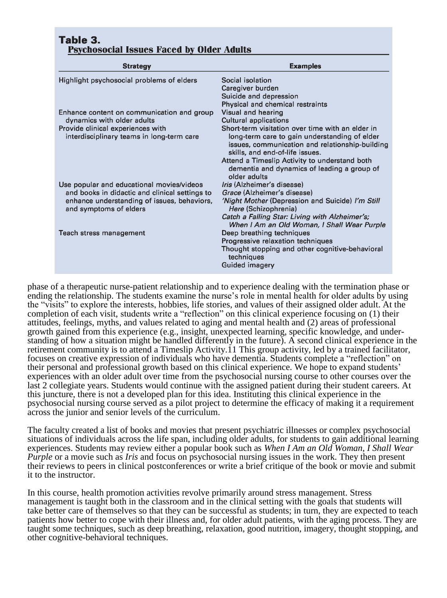| <b>Strategy</b>                                                       | <b>Examples</b>                                                                                                                     |  |
|-----------------------------------------------------------------------|-------------------------------------------------------------------------------------------------------------------------------------|--|
| Highlight psychosocial problems of elders                             | Social isolation                                                                                                                    |  |
|                                                                       | Caregiver burden                                                                                                                    |  |
|                                                                       | Suicide and depression                                                                                                              |  |
|                                                                       | Physical and chemical restraints                                                                                                    |  |
| Enhance content on communication and group                            | Visual and hearing                                                                                                                  |  |
| dynamics with older adults                                            | <b>Cultural applications</b>                                                                                                        |  |
| Provide clinical experiences with                                     | Short-term visitation over time with an elder in                                                                                    |  |
| interdisciplinary teams in long-term care                             | long-term care to gain understanding of elder<br>issues, communication and relationship-building<br>skills, and end-of-life issues. |  |
|                                                                       | Attend a Timeslip Activity to understand both<br>dementia and dynamics of leading a group of<br>older adults                        |  |
| Use popular and educational movies/videos                             | <i>Iris</i> (Alzheimer's disease)                                                                                                   |  |
| and books in didactic and clinical settings to                        | Grace (Alzheimer's disease)                                                                                                         |  |
| enhance understanding of issues, behaviors,<br>and symptoms of elders | 'Night Mother (Depression and Suicide) I'm Still<br>Here (Schizophrenia)                                                            |  |
|                                                                       | Catch a Falling Star: Living with Alzheimer's;<br>When I Am an Old Woman, I Shall Wear Purple                                       |  |
| Teach stress management                                               | Deep breathing techniques                                                                                                           |  |
|                                                                       | Progressive relaxation techniques                                                                                                   |  |
|                                                                       | Thought stopping and other cognitive-behavioral<br>techniques                                                                       |  |
|                                                                       | <b>Guided imagery</b>                                                                                                               |  |

phase of a therapeutic nurse-patient relationship and to experience dealing with the termination phase or ending the relationship. The students examine the nurse's role in mental health for older adults by using the "visits" to explore the interests, hobbies, life stories, and values of their assigned older adult. At the completion of each visit, students write a "reflection" on this clinical experience focusing on (1) their attitudes, feelings, myths, and values related to aging and mental health and (2) areas of professional growth gained from this experience (e.g., insight, unexpected learning, specific knowledge, and understanding of how a situation might be handled differently in the future). A second clinical experience in the retirement community is to attend a Timeslip Activity.11 This group activity, led by a trained facilitator, focuses on creative expression of individuals who have dementia. Students complete a "reflection" on their personal and professional growth based on this clinical experience. We hope to expand students' experiences with an older adult over time from the psychosocial nursing course to other courses over the last 2 collegiate years. Students would continue with the assigned patient during their student careers. At this juncture, there is not a developed plan for this idea. Instituting this clinical experience in the psychosocial nursing course served as a pilot project to determine the efficacy of making it a requirement across the junior and senior levels of the curriculum.

The faculty created a list of books and movies that present psychiatric illnesses or complex psychosocial situations of individuals across the life span, including older adults, for students to gain additional learning experiences. Students may review either a popular book such as *When I Am an Old Woman, I Shall Wear Purple* or a movie such as *Iris* and focus on psychosocial nursing issues in the work. They then present their reviews to peers in clinical postconferences or write a brief critique of the book or movie and submit it to the instructor.

In this course, health promotion activities revolve primarily around stress management. Stress management is taught both in the classroom and in the clinical setting with the goals that students will take better care of themselves so that they can be successful as students; in turn, they are expected to teach patients how better to cope with their illness and, for older adult patients, with the aging process. They are taught some techniques, such as deep breathing, relaxation, good nutrition, imagery, thought stopping, and other cognitive-behavioral techniques.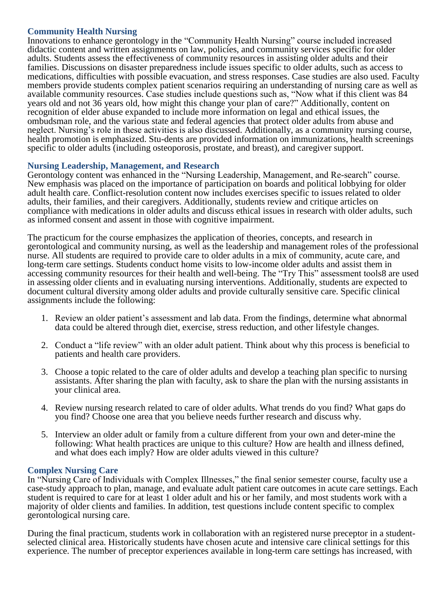## **Community Health Nursing**

Innovations to enhance gerontology in the "Community Health Nursing" course included increased didactic content and written assignments on law, policies, and community services specific for older adults. Students assess the effectiveness of community resources in assisting older adults and their families. Discussions on disaster preparedness include issues specific to older adults, such as access to medications, difficulties with possible evacuation, and stress responses. Case studies are also used. Faculty members provide students complex patient scenarios requiring an understanding of nursing care as well as available community resources. Case studies include questions such as, "Now what if this client was 84 years old and not 36 years old, how might this change your plan of care?" Additionally, content on recognition of elder abuse expanded to include more information on legal and ethical issues, the ombudsman role, and the various state and federal agencies that protect older adults from abuse and neglect. Nursing's role in these activities is also discussed. Additionally, as a community nursing course, health promotion is emphasized. Stu-dents are provided information on immunizations, health screenings specific to older adults (including osteoporosis, prostate, and breast), and caregiver support.

## **Nursing Leadership, Management, and Research**

Gerontology content was enhanced in the "Nursing Leadership, Management, and Re-search" course. New emphasis was placed on the importance of participation on boards and political lobbying for older adult health care. Conflict-resolution content now includes exercises specific to issues related to older adults, their families, and their caregivers. Additionally, students review and critique articles on compliance with medications in older adults and discuss ethical issues in research with older adults, such as informed consent and assent in those with cognitive impairment.

The practicum for the course emphasizes the application of theories, concepts, and research in gerontological and community nursing, as well as the leadership and management roles of the professional nurse. All students are required to provide care to older adults in a mix of community, acute care, and long-term care settings. Students conduct home visits to low-income older adults and assist them in accessing community resources for their health and well-being. The "Try This" assessment tools8 are used in assessing older clients and in evaluating nursing interventions. Additionally, students are expected to document cultural diversity among older adults and provide culturally sensitive care. Specific clinical assignments include the following:

- 1. Review an older patient's assessment and lab data. From the findings, determine what abnormal data could be altered through diet, exercise, stress reduction, and other lifestyle changes.
- 2. Conduct a "life review" with an older adult patient. Think about why this process is beneficial to patients and health care providers.
- 3. Choose a topic related to the care of older adults and develop a teaching plan specific to nursing assistants. After sharing the plan with faculty, ask to share the plan with the nursing assistants in your clinical area.
- 4. Review nursing research related to care of older adults. What trends do you find? What gaps do you find? Choose one area that you believe needs further research and discuss why.
- 5. Interview an older adult or family from a culture different from your own and deter-mine the following: What health practices are unique to this culture? How are health and illness defined, and what does each imply? How are older adults viewed in this culture?

## **Complex Nursing Care**

In "Nursing Care of Individuals with Complex Illnesses," the final senior semester course, faculty use a case-study approach to plan, manage, and evaluate adult patient care outcomes in acute care settings. Each student is required to care for at least 1 older adult and his or her family, and most students work with a majority of older clients and families. In addition, test questions include content specific to complex gerontological nursing care.

During the final practicum, students work in collaboration with an registered nurse preceptor in a studentselected clinical area. Historically students have chosen acute and intensive care clinical settings for this experience. The number of preceptor experiences available in long-term care settings has increased, with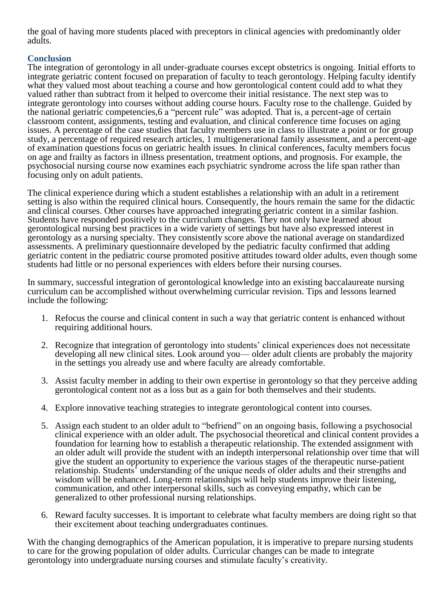the goal of having more students placed with preceptors in clinical agencies with predominantly older adults.

# **Conclusion**

The integration of gerontology in all under-graduate courses except obstetrics is ongoing. Initial efforts to integrate geriatric content focused on preparation of faculty to teach gerontology. Helping faculty identify what they valued most about teaching a course and how gerontological content could add to what they valued rather than subtract from it helped to overcome their initial resistance. The next step was to integrate gerontology into courses without adding course hours. Faculty rose to the challenge. Guided by the national geriatric competencies,6 a "percent rule" was adopted. That is, a percent-age of certain classroom content, assignments, testing and evaluation, and clinical conference time focuses on aging issues. A percentage of the case studies that faculty members use in class to illustrate a point or for group study, a percentage of required research articles, 1 multigenerational family assessment, and a percent-age of examination questions focus on geriatric health issues. In clinical conferences, faculty members focus on age and frailty as factors in illness presentation, treatment options, and prognosis. For example, the psychosocial nursing course now examines each psychiatric syndrome across the life span rather than focusing only on adult patients.

The clinical experience during which a student establishes a relationship with an adult in a retirement setting is also within the required clinical hours. Consequently, the hours remain the same for the didactic and clinical courses. Other courses have approached integrating geriatric content in a similar fashion. Students have responded positively to the curriculum changes. They not only have learned about gerontological nursing best practices in a wide variety of settings but have also expressed interest in gerontology as a nursing specialty. They consistently score above the national average on standardized assessments. A preliminary questionnaire developed by the pediatric faculty confirmed that adding geriatric content in the pediatric course promoted positive attitudes toward older adults, even though some students had little or no personal experiences with elders before their nursing courses.

In summary, successful integration of gerontological knowledge into an existing baccalaureate nursing curriculum can be accomplished without overwhelming curricular revision. Tips and lessons learned include the following:

- 1. Refocus the course and clinical content in such a way that geriatric content is enhanced without requiring additional hours.
- 2. Recognize that integration of gerontology into students' clinical experiences does not necessitate developing all new clinical sites. Look around you— older adult clients are probably the majority in the settings you already use and where faculty are already comfortable.
- 3. Assist faculty member in adding to their own expertise in gerontology so that they perceive adding gerontological content not as a loss but as a gain for both themselves and their students.
- 4. Explore innovative teaching strategies to integrate gerontological content into courses.
- 5. Assign each student to an older adult to "befriend" on an ongoing basis, following a psychosocial clinical experience with an older adult. The psychosocial theoretical and clinical content provides a foundation for learning how to establish a therapeutic relationship. The extended assignment with an older adult will provide the student with an indepth interpersonal relationship over time that will give the student an opportunity to experience the various stages of the therapeutic nurse-patient relationship. Students' understanding of the unique needs of older adults and their strengths and wisdom will be enhanced. Long-term relationships will help students improve their listening, communication, and other interpersonal skills, such as conveying empathy, which can be generalized to other professional nursing relationships.
- 6. Reward faculty successes. It is important to celebrate what faculty members are doing right so that their excitement about teaching undergraduates continues.

With the changing demographics of the American population, it is imperative to prepare nursing students to care for the growing population of older adults. Curricular changes can be made to integrate gerontology into undergraduate nursing courses and stimulate faculty's creativity.